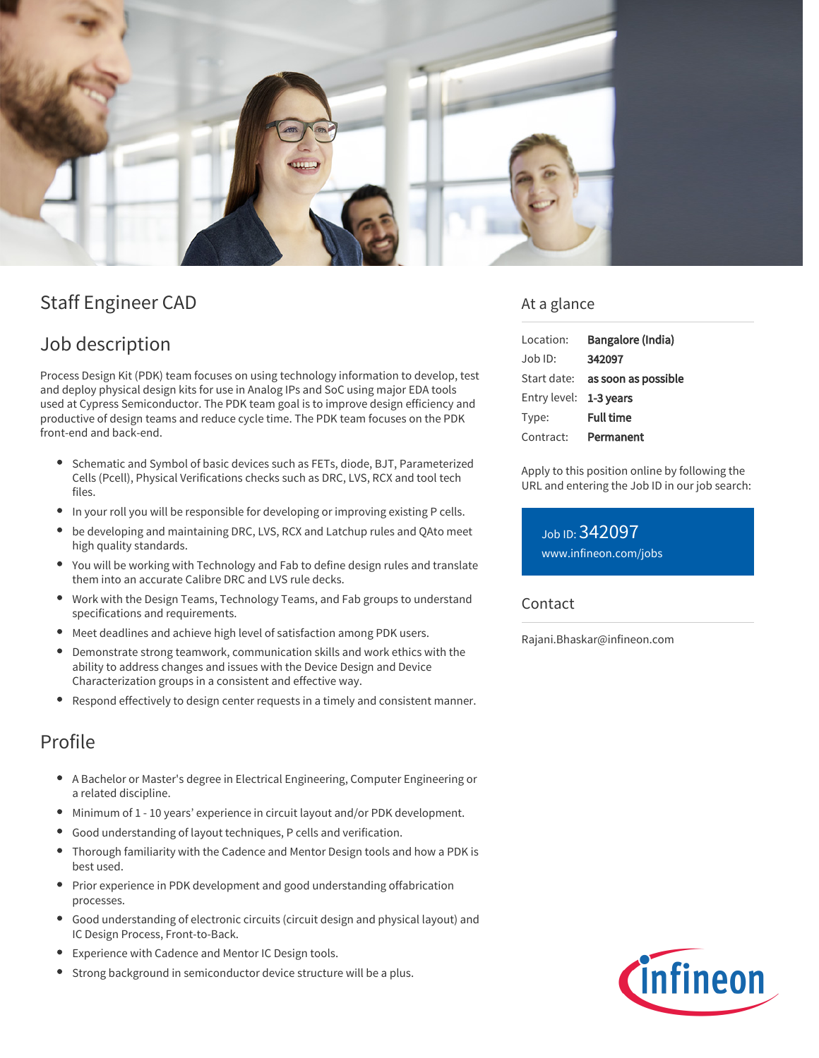

# Staff Engineer CAD

## Job description

Process Design Kit (PDK) team focuses on using technology information to develop, test and deploy physical design kits for use in Analog IPs and SoC using major EDA tools used at Cypress Semiconductor. The PDK team goal is to improve design efficiency and productive of design teams and reduce cycle time. The PDK team focuses on the PDK front-end and back-end.

- $\bullet$ Schematic and Symbol of basic devices such as FETs, diode, BJT, Parameterized Cells (Pcell), Physical Verifications checks such as DRC, LVS, RCX and tool tech files.
- In your roll you will be responsible for developing or improving existing P cells.
- be developing and maintaining DRC, LVS, RCX and Latchup rules and QAto meet high quality standards.
- You will be working with Technology and Fab to define design rules and translate them into an accurate Calibre DRC and LVS rule decks.
- Work with the Design Teams, Technology Teams, and Fab groups to understand specifications and requirements.
- Meet deadlines and achieve high level of satisfaction among PDK users.
- Demonstrate strong teamwork, communication skills and work ethics with the ability to address changes and issues with the Device Design and Device Characterization groups in a consistent and effective way.
- Respond effectively to design center requests in a timely and consistent manner.

### Profile

- A Bachelor or Master's degree in Electrical Engineering, Computer Engineering or a related discipline.
- Minimum of 1 10 years' experience in circuit layout and/or PDK development.
- Good understanding of layout techniques, P cells and verification.
- Thorough familiarity with the Cadence and Mentor Design tools and how a PDK is best used.
- Prior experience in PDK development and good understanding offabrication processes.
- Good understanding of electronic circuits (circuit design and physical layout) and IC Design Process, Front-to-Back.
- Experience with Cadence and Mentor IC Design tools.
- Strong background in semiconductor device structure will be a plus.

### At a glance

| Location:              | Bangalore (India)                      |
|------------------------|----------------------------------------|
| $Job$ ID:              | 342097                                 |
|                        | Start date: <b>as soon as possible</b> |
| Entry level: 1-3 years |                                        |
| Type:                  | <b>Full time</b>                       |
| Contract:              | Permanent                              |

Apply to this position online by following the URL and entering the Job ID in our job search:

Job ID: 342097 [www.infineon.com/jobs](https://www.infineon.com/jobs)

#### Contact

Rajani.Bhaskar@infineon.com